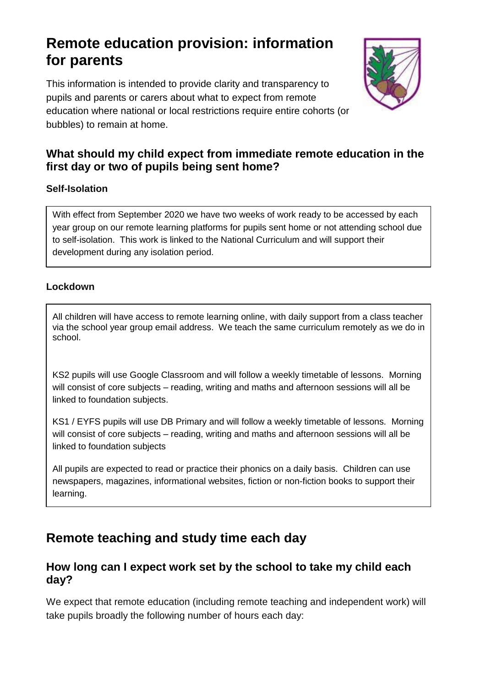# **Remote education provision: information for parents**

This information is intended to provide clarity and transparency to pupils and parents or carers about what to expect from remote education where national or local restrictions require entire cohorts (or bubbles) to remain at home.



### **What should my child expect from immediate remote education in the first day or two of pupils being sent home?**

#### **Self-Isolation**

With effect from September 2020 we have two weeks of work ready to be accessed by each year group on our remote learning platforms for pupils sent home or not attending school due to self-isolation. This work is linked to the National Curriculum and will support their development during any isolation period.

#### **Lockdown**

All children will have access to remote learning online, with daily support from a class teacher via the school year group email address. We teach the same curriculum remotely as we do in school.

KS2 pupils will use Google Classroom and will follow a weekly timetable of lessons. Morning will consist of core subjects – reading, writing and maths and afternoon sessions will all be linked to foundation subjects.

KS1 / EYFS pupils will use DB Primary and will follow a weekly timetable of lessons. Morning will consist of core subjects – reading, writing and maths and afternoon sessions will all be linked to foundation subjects

All pupils are expected to read or practice their phonics on a daily basis. Children can use newspapers, magazines, informational websites, fiction or non-fiction books to support their learning.

## **Remote teaching and study time each day**

#### **How long can I expect work set by the school to take my child each day?**

We expect that remote education (including remote teaching and independent work) will take pupils broadly the following number of hours each day: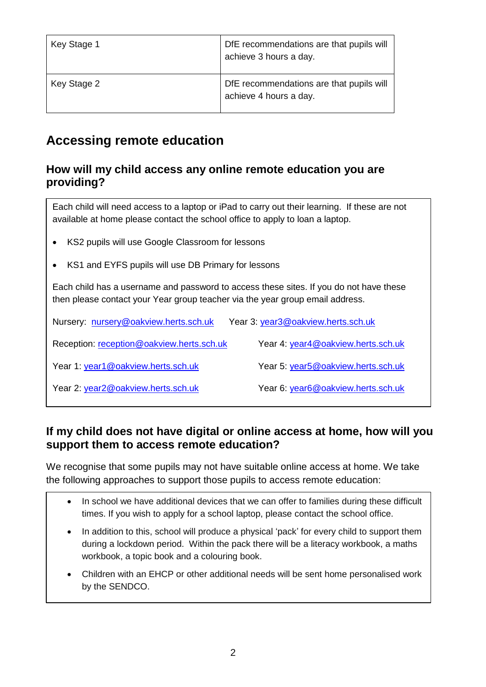| Key Stage 1 | DfE recommendations are that pupils will<br>achieve 3 hours a day. |
|-------------|--------------------------------------------------------------------|
| Key Stage 2 | DfE recommendations are that pupils will<br>achieve 4 hours a day. |

## **Accessing remote education**

#### **How will my child access any online remote education you are providing?**

Each child will need access to a laptop or iPad to carry out their learning. If these are not available at home please contact the school office to apply to loan a laptop.

- KS2 pupils will use Google Classroom for lessons
- KS1 and EYFS pupils will use DB Primary for lessons

Each child has a username and password to access these sites. If you do not have these then please contact your Year group teacher via the year group email address.

| Nursery: nursery@oakview.herts.sch.uk     | Year 3: year3@oakview.herts.sch.uk |
|-------------------------------------------|------------------------------------|
| Reception: reception@oakview.herts.sch.uk | Year 4: year4@oakview.herts.sch.uk |
| Year 1: year1@oakview.herts.sch.uk        | Year 5: year5@oakview.herts.sch.uk |
| Year 2: year2@oakview.herts.sch.uk        | Year 6: year6@oakview.herts.sch.uk |

### **If my child does not have digital or online access at home, how will you support them to access remote education?**

We recognise that some pupils may not have suitable online access at home. We take the following approaches to support those pupils to access remote education: .

- In school we have additional devices that we can offer to families during these difficult times. If you wish to apply for a school laptop, please contact the school office.
- In addition to this, school will produce a physical 'pack' for every child to support them during a lockdown period. Within the pack there will be a literacy workbook, a maths workbook, a topic book and a colouring book.
- Children with an EHCP or other additional needs will be sent home personalised work by the SENDCO.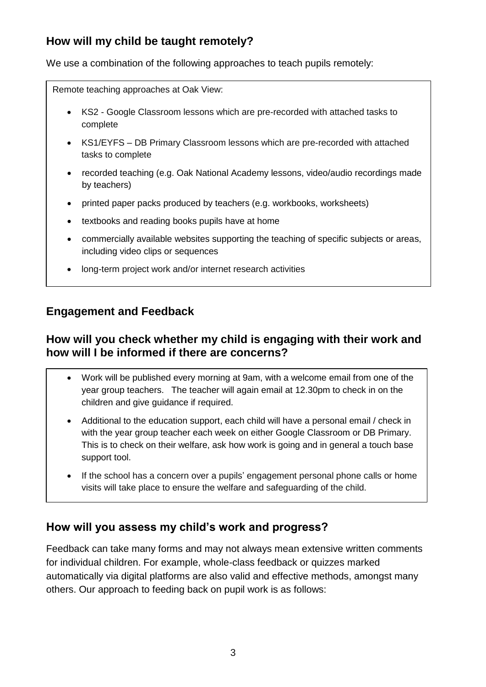### **How will my child be taught remotely?**

We use a combination of the following approaches to teach pupils remotely:

Remote teaching approaches at Oak View:

- KS2 Google Classroom lessons which are pre-recorded with attached tasks to complete
- KS1/EYFS DB Primary Classroom lessons which are pre-recorded with attached tasks to complete
- recorded teaching (e.g. Oak National Academy lessons, video/audio recordings made by teachers)
- printed paper packs produced by teachers (e.g. workbooks, worksheets)
- textbooks and reading books pupils have at home
- commercially available websites supporting the teaching of specific subjects or areas, including video clips or sequences
- long-term project work and/or internet research activities

#### **Engagement and Feedback**

#### **How will you check whether my child is engaging with their work and how will I be informed if there are concerns?**

- Work will be published every morning at 9am, with a welcome email from one of the year group teachers. The teacher will again email at 12.30pm to check in on the children and give guidance if required.
- Additional to the education support, each child will have a personal email / check in with the year group teacher each week on either Google Classroom or DB Primary. This is to check on their welfare, ask how work is going and in general a touch base support tool.
- If the school has a concern over a pupils' engagement personal phone calls or home visits will take place to ensure the welfare and safeguarding of the child.

#### **How will you assess my child's work and progress?**

Feedback can take many forms and may not always mean extensive written comments for individual children. For example, whole-class feedback or quizzes marked automatically via digital platforms are also valid and effective methods, amongst many others. Our approach to feeding back on pupil work is as follows: